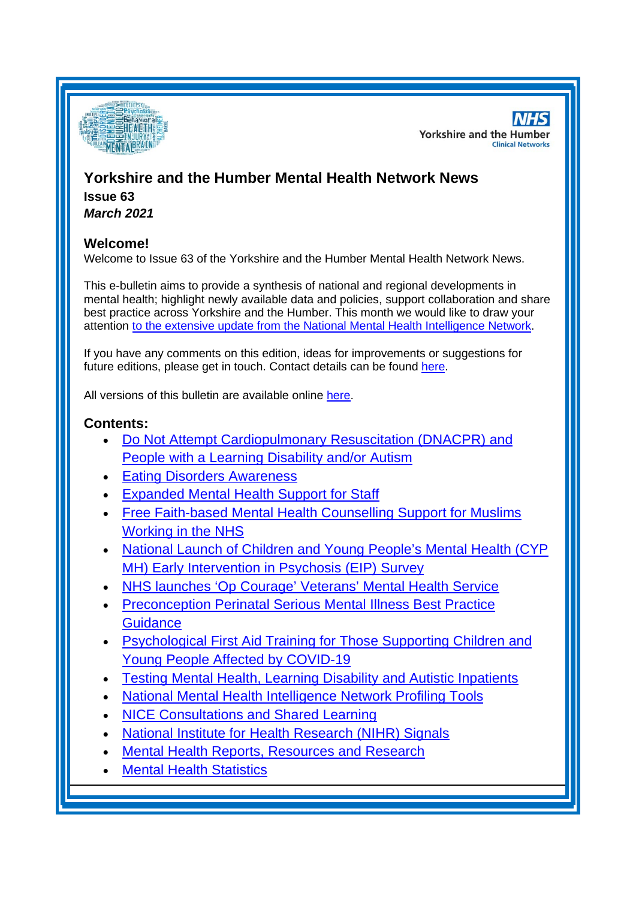

**NHS Yorkshire and the Humber Clinical Networks** 

# **Yorkshire and the Humber Mental Health Network News Issue 63**

*March 2021*

# **Welcome!**

Welcome to Issue 63 of the Yorkshire and the Humber Mental Health Network News.

This e-bulletin aims to provide a synthesis of national and regional developments in mental health; highlight newly available data and policies, support collaboration and share best practice across Yorkshire and the Humber. This month we would like to draw your attention to [the extensive update from the National Mental Health Intelligence Network.](#page-1-0)

If you have any comments on this edition, ideas for improvements or suggestions for future editions, please get in touch. Contact details can be found [here.](#page-8-0)

All versions of this bulletin are available online [here.](http://www.yhscn.nhs.uk/mental-health-clinic/mental-health-network/MH-documents-and-links.php)

# **Contents:**

- [Do Not Attempt Cardiopulmonary Resuscitation \(DNACPR\) and](#page-1-1)  [People with a Learning Disability and/or Autism](#page-1-1)
- **[Eating Disorders Awareness](#page-1-2)**
- [Expanded Mental Health Support for Staff](#page-1-3)
- [Free Faith-based Mental Health Counselling Support for Muslims](#page-2-0)  [Working in the NHS](#page-2-0)
- [National Launch of Children and Young People's Mental Health \(CYP](#page-2-1)  [MH\) Early Intervention in Psychosis \(EIP\) Survey](#page-2-1)
- [NHS launches 'Op Courage' Veterans' Mental Health Service](#page-2-2)
- [Preconception Perinatal Serious Mental Illness Best Practice](#page-3-0)  **[Guidance](#page-3-0)**
- [Psychological First Aid Training for Those Supporting Children and](#page-3-1)  [Young People Affected by COVID-19](#page-3-1)
- [Testing Mental Health, Learning Disability and Autistic Inpatients](#page-4-0)
- **National Mental Health Intelligence Network Profiling Tools**
- [NICE Consultations and Shared Learning](#page-5-0)
- [National Institute for Health Research \(NIHR\) Signals](#page-5-0)
- [Mental Health Reports, Resources and](#page-5-1) Research
- **[Mental Health Statistics](#page-7-0)**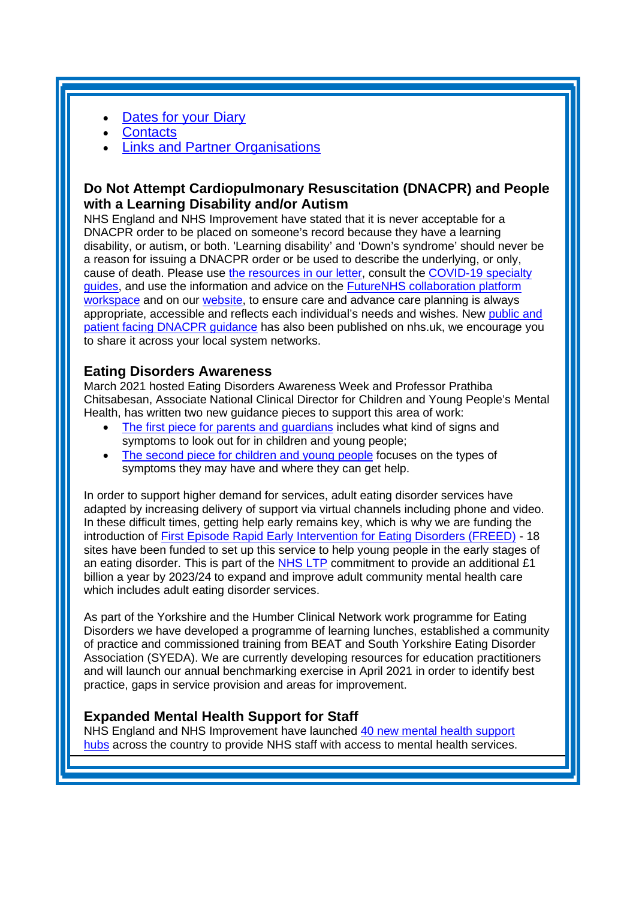- [Dates for your Diary](#page-7-1)
- **[Contacts](#page-8-0)**
- Links and [Partner Organisations](#page-9-0)

# <span id="page-1-1"></span><span id="page-1-0"></span>**Do Not Attempt Cardiopulmonary Resuscitation (DNACPR) and People with a Learning Disability and/or Autism**

NHS England and NHS Improvement have stated that it is never acceptable for a DNACPR order to be placed on someone's record because they have a learning disability, or autism, or both. 'Learning disability' and 'Down's syndrome' should never be a reason for issuing a DNACPR order or be used to describe the underlying, or only, cause of death. Please use [the resources in our letter,](https://healthcareleadersupdate.cmail20.com/t/d-l-qvidkl-trjlikjdyh-z/) consult the [COVID-19 specialty](https://healthcareleadersupdate.cmail20.com/t/d-l-qvidkl-trjlikjdyh-v/)  [guides,](https://healthcareleadersupdate.cmail20.com/t/d-l-qvidkl-trjlikjdyh-v/) and use the information and advice on the [FutureNHS collaboration platform](https://healthcareleadersupdate.cmail20.com/t/d-l-qvidkl-trjlikjdyh-e/)  [workspace](https://healthcareleadersupdate.cmail20.com/t/d-l-qvidkl-trjlikjdyh-e/) and on our [website,](https://healthcareleadersupdate.cmail20.com/t/d-l-qvidkl-trjlikjdyh-s/) to ensure care and advance care planning is always appropriate, accessible and reflects each individual's needs and wishes. New [public and](https://mhlda.cmail20.com/t/d-l-qyulyhy-tlljkuijii-k/)  [patient facing DNACPR guidance](https://mhlda.cmail20.com/t/d-l-qyulyhy-tlljkuijii-k/) has also been published on nhs.uk, we encourage you to share it across your local system networks.

### <span id="page-1-2"></span>**Eating Disorders Awareness**

March 2021 hosted Eating Disorders Awareness Week and Professor Prathiba Chitsabesan, Associate National Clinical Director for Children and Young People's Mental Health, has written two new guidance pieces to support this area of work:

- The first piece for parents and quardians includes what kind of signs and symptoms to look out for in children and young people;
- [The second piece for children and young people](https://mhlda.cmail20.com/t/d-l-qvtytl-tlljkuijii-t/) focuses on the types of symptoms they may have and where they can get help.

In order to support higher demand for services, adult eating disorder services have adapted by increasing delivery of support via virtual channels including phone and video. In these difficult times, getting help early remains key, which is why we are funding the introduction of [First Episode Rapid Early Intervention for Eating Disorders \(FREED\)](https://mhlda.cmail20.com/t/d-l-qvtytl-tlljkuijii-h/) - 18 sites have been funded to set up this service to help young people in the early stages of an eating disorder. This is part of the  $NHS$  LTP commitment to provide an additional £1 billion a year by 2023/24 to expand and improve adult community mental health care which includes adult eating disorder services.

As part of the Yorkshire and the Humber Clinical Network work programme for Eating Disorders we have developed a programme of learning lunches, established a community of practice and commissioned training from BEAT and South Yorkshire Eating Disorder Association (SYEDA). We are currently developing resources for education practitioners and will launch our annual benchmarking exercise in April 2021 in order to identify best practice, gaps in service provision and areas for improvement.

# <span id="page-1-3"></span>**Expanded Mental Health Support for Staff**

NHS England and NHS Improvement have launched [40 new mental health](https://healthcareleadersupdate.cmail19.com/t/d-l-qxkyjd-trjlikjdyh-yh/) support [hubs](https://healthcareleadersupdate.cmail19.com/t/d-l-qxkyjd-trjlikjdyh-yh/) across the country to provide NHS staff with access to mental health services.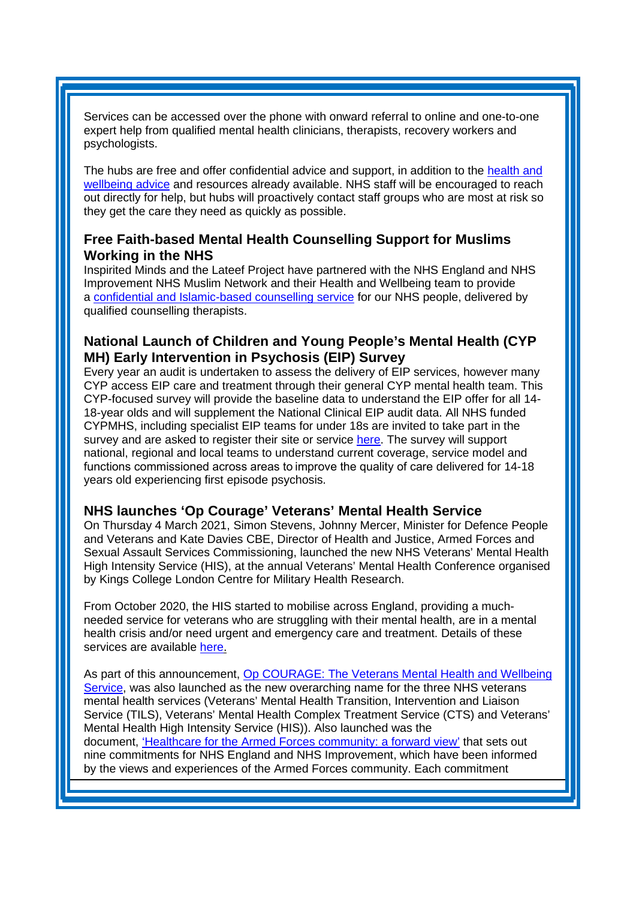Services can be accessed over the phone with onward referral to online and one-to-one expert help from qualified mental health clinicians, therapists, recovery workers and psychologists.

The hubs are free and offer confidential advice and support, in addition to the [health and](https://healthcareleadersupdate.cmail19.com/t/d-l-qxkyjd-trjlikjdyh-yk/)  [wellbeing advice](https://healthcareleadersupdate.cmail19.com/t/d-l-qxkyjd-trjlikjdyh-yk/) and resources already available. NHS staff will be encouraged to reach out directly for help, but hubs will proactively contact staff groups who are most at risk so they get the care they need as quickly as possible.

### <span id="page-2-0"></span>**Free Faith-based Mental Health Counselling Support for Muslims Working in the NHS**

Inspirited Minds and the Lateef Project have partnered with the NHS England and NHS Improvement NHS Muslim Network and their Health and Wellbeing team to provide a [confidential and Islamic-based counselling service](https://internalcommunications.cmail20.com/t/d-l-qvdrhl-jkdrliykjd-q/) for our NHS people, delivered by qualified counselling therapists.

# <span id="page-2-1"></span>**National Launch of Children and Young People's Mental Health (CYP MH) Early Intervention in Psychosis (EIP) Survey**

Every year an audit is undertaken to assess the delivery of EIP services, however many CYP access EIP care and treatment through their general CYP mental health team. This CYP-focused survey will provide the baseline data to understand the EIP offer for all 14- 18-year olds and will supplement the National Clinical EIP audit data. All NHS funded CYPMHS, including specialist EIP teams for under 18s are invited to take part in the survey and are asked to register their site or service [here.](https://wh1.snapsurveys.com/s.asp?k=161469931567) The survey will support national, regional and local teams to understand current coverage, service model and functions commissioned across areas to improve the quality of care delivered for 14-18 years old experiencing first episode psychosis.

### <span id="page-2-2"></span>**NHS launches 'Op Courage' Veterans' Mental Health Service**

On Thursday 4 March 2021, Simon Stevens, Johnny Mercer, Minister for Defence People and Veterans and Kate Davies CBE, Director of Health and Justice, Armed Forces and Sexual Assault Services Commissioning, launched the new NHS Veterans' Mental Health High Intensity Service (HIS), at the annual Veterans' Mental Health Conference organised by Kings College London Centre for Military Health Research.

From October 2020, the HIS started to mobilise across England, providing a muchneeded service for veterans who are struggling with their mental health, are in a mental health crisis and/or need urgent and emergency care and treatment. Details of these services are available [here.](https://www.nhs.uk/nhs-services/armed-forces-and-veterans-healthcare/veterans-nhs-mental-health-services/)

As part of this announcement, [Op COURAGE: The Veterans Mental Health and Wellbeing](https://www.england.nhs.uk/2021/03/nhs-launches-op-courage-veterans-mental-health-service/)  [Service,](https://www.england.nhs.uk/2021/03/nhs-launches-op-courage-veterans-mental-health-service/) was also launched as the new overarching name for the three NHS veterans mental health services (Veterans' Mental Health Transition, Intervention and Liaison Service (TILS), Veterans' Mental Health Complex Treatment Service (CTS) and Veterans' Mental Health High Intensity Service (HIS)). Also launched was the document, ['Healthcare for the Armed Forces community: a forward view'](https://www.england.nhs.uk/publication/healthcare-for-the-armed-forces-community-a-forward-view/) that sets out nine commitments for NHS England and NHS Improvement, which have been informed by the views and experiences of the Armed Forces community. Each commitment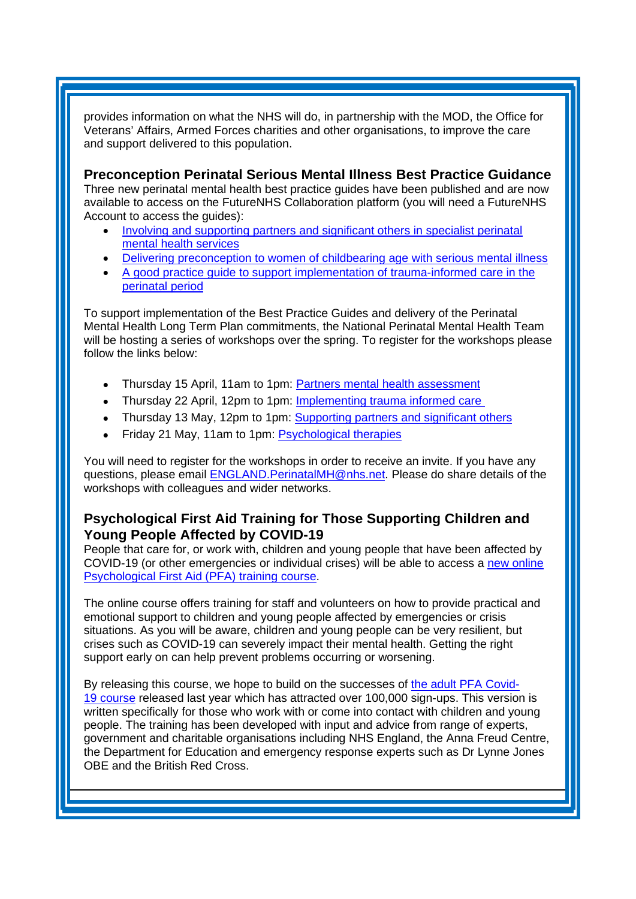provides information on what the NHS will do, in partnership with the MOD, the Office for Veterans' Affairs, Armed Forces charities and other organisations, to improve the care and support delivered to this population.

<span id="page-3-0"></span>**Preconception Perinatal Serious Mental Illness Best Practice Guidance** Three new perinatal mental health best practice guides have been published and are now available to access on the FutureNHS Collaboration platform (you will need a FutureNHS Account to access the guides):

- [Involving and supporting partners and significant others in specialist perinatal](https://mhlda.cmail19.com/t/d-l-qphltl-tlljkuijii-j/)  [mental health services](https://mhlda.cmail19.com/t/d-l-qphltl-tlljkuijii-j/)
- [Delivering preconception to women of childbearing age with serious mental illness](https://mhlda.cmail19.com/t/d-l-qphltl-tlljkuijii-t/)
- [A good practice guide to support implementation of trauma-informed care in the](https://mhlda.cmail19.com/t/d-l-qphltl-tlljkuijii-i/)  [perinatal period](https://mhlda.cmail19.com/t/d-l-qphltl-tlljkuijii-i/)

To support implementation of the Best Practice Guides and delivery of the Perinatal Mental Health Long Term Plan commitments, the National Perinatal Mental Health Team will be hosting a series of workshops over the spring. To register for the workshops please follow the links below:

- Thursday 15 April, 11am to 1pm: [Partners mental health assessment](https://healthcareleadersupdate.cmail19.com/t/d-l-qjrthdl-trjlikjdyh-jk/)
- Thursday 22 April, 12pm to 1pm: Implementing trauma informed care
- Thursday 13 May, 12pm to 1pm: Supporting partners and significant others
- Friday 21 May, 11am to 1pm: [Psychological therapies](https://healthcareleadersupdate.cmail19.com/t/d-l-qjrthdl-trjlikjdyh-tr/)

You will need to register for the workshops in order to receive an invite. If you have any questions, please email [ENGLAND.PerinatalMH@nhs.net.](mailto:ENGLAND.PerinatalMH@nhs.net) Please do share details of the workshops with colleagues and wider networks.

# <span id="page-3-1"></span>**Psychological First Aid Training for Those Supporting Children and Young People Affected by COVID-19**

People that care for, or work with, children and young people that have been affected by COVID-19 (or other emergencies or individual crises) will be able to access a [new online](https://www.futurelearn.com/courses/psychological-first-aid-for-children-and-young-people)  [Psychological First Aid \(PFA\) training course.](https://www.futurelearn.com/courses/psychological-first-aid-for-children-and-young-people)

The online course offers training for staff and volunteers on how to provide practical and emotional support to children and young people affected by emergencies or crisis situations. As you will be aware, children and young people can be very resilient, but crises such as COVID-19 can severely impact their mental health. Getting the right support early on can help prevent problems occurring or worsening.

By releasing this course, we hope to build on the successes of [the adult PFA](https://eur01.safelinks.protection.outlook.com/?url=https%3A%2F%2Fwww.futurelearn.com%2Fadmin%2Fcourses%2Fpsychological-first-aid-covid-19%2F1&data=04%7C01%7CDonah.Hendrickson%40phe.gov.uk%7C529d2f504524451598ce08d8d4d7ffe6%7Cee4e14994a354b2ead475f3cf9de8666%7C0%7C0%7C637493371758404410%7CUnknown%7CTWFpbGZsb3d8eyJWIjoiMC4wLjAwMDAiLCJQIjoiV2luMzIiLCJBTiI6Ik1haWwiLCJXVCI6Mn0%3D%7C1000&sdata=arVPcP%2B5OtzWTNsfEL239BszwyHVy43x%2FsdZsq8%2BO5A%3D&reserved=0) Covid-19 [course](https://eur01.safelinks.protection.outlook.com/?url=https%3A%2F%2Fwww.futurelearn.com%2Fadmin%2Fcourses%2Fpsychological-first-aid-covid-19%2F1&data=04%7C01%7CDonah.Hendrickson%40phe.gov.uk%7C529d2f504524451598ce08d8d4d7ffe6%7Cee4e14994a354b2ead475f3cf9de8666%7C0%7C0%7C637493371758404410%7CUnknown%7CTWFpbGZsb3d8eyJWIjoiMC4wLjAwMDAiLCJQIjoiV2luMzIiLCJBTiI6Ik1haWwiLCJXVCI6Mn0%3D%7C1000&sdata=arVPcP%2B5OtzWTNsfEL239BszwyHVy43x%2FsdZsq8%2BO5A%3D&reserved=0) released last year which has attracted over 100,000 sign-ups. This version is written specifically for those who work with or come into contact with children and young people. The training has been developed with input and advice from range of experts, government and charitable organisations including NHS England, the Anna Freud Centre, the Department for Education and emergency response experts such as Dr Lynne Jones OBE and the British Red Cross.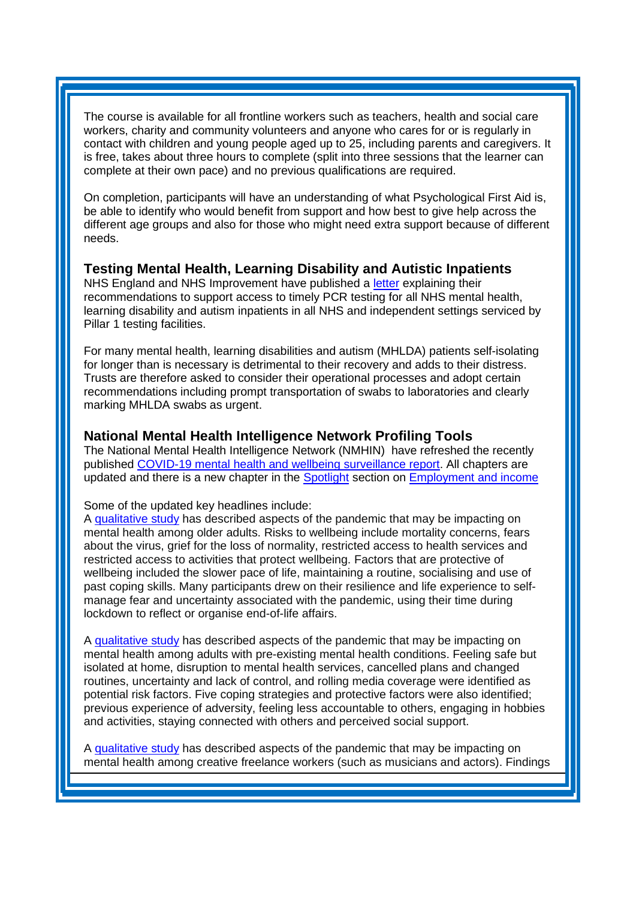The course is available for all frontline workers such as teachers, health and social care workers, charity and community volunteers and anyone who cares for or is regularly in contact with children and young people aged up to 25, including parents and caregivers. It is free, takes about three hours to complete (split into three sessions that the learner can complete at their own pace) and no previous qualifications are required.

On completion, participants will have an understanding of what Psychological First Aid is, be able to identify who would benefit from support and how best to give help across the different age groups and also for those who might need extra support because of different needs.

### <span id="page-4-0"></span>**Testing Mental Health, Learning Disability and Autistic Inpatients**

NHS England and NHS Improvement have published a [letter](https://healthcareleadersupdate.cmail20.com/t/d-l-qyhkjz-trjlikjdyh-f/) explaining their recommendations to support access to timely PCR testing for all NHS mental health, learning disability and autism inpatients in all NHS and independent settings serviced by Pillar 1 testing facilities.

For many mental health, learning disabilities and autism (MHLDA) patients self-isolating for longer than is necessary is detrimental to their recovery and adds to their distress. Trusts are therefore asked to consider their operational processes and adopt certain recommendations including prompt transportation of swabs to laboratories and clearly marking MHLDA swabs as urgent.

#### **National Mental Health Intelligence Network Profiling Tools**

The National Mental Health Intelligence Network (NMHIN) have refreshed the recently published [COVID-19 mental health and wellbeing surveillance report.](https://eur01.safelinks.protection.outlook.com/?url=https%3A%2F%2Fwww.gov.uk%2Fgovernment%2Fpublications%2Fcovid-19-mental-health-and-wellbeing-surveillance-report&data=04%7C01%7CLaura.Hodgson%40phe.gov.uk%7C7968c23658c44d0fea1a08d8d9b0686b%7Cee4e14994a354b2ead475f3cf9de8666%7C0%7C0%7C637498698968500519%7CUnknown%7CTWFpbGZsb3d8eyJWIjoiMC4wLjAwMDAiLCJQIjoiV2luMzIiLCJBTiI6Ik1haWwiLCJXVCI6Mn0%3D%7C1000&sdata=RlqsS9IiDm0qOlokMJSYMA2Pk%2BxHthAr%2B8RXSa%2FZcdU%3D&reserved=0) All chapters are updated and there is a new chapter in the [Spotlight](https://eur01.safelinks.protection.outlook.com/?url=https%3A%2F%2Fwww.gov.uk%2Fgovernment%2Fpublications%2Fcovid-19-mental-health-and-wellbeing-surveillance-spotlights&data=04%7C01%7CLaura.Hodgson%40phe.gov.uk%7C7968c23658c44d0fea1a08d8d9b0686b%7Cee4e14994a354b2ead475f3cf9de8666%7C0%7C0%7C637498698968500519%7CUnknown%7CTWFpbGZsb3d8eyJWIjoiMC4wLjAwMDAiLCJQIjoiV2luMzIiLCJBTiI6Ik1haWwiLCJXVCI6Mn0%3D%7C1000&sdata=9yEfZEQGQswzeDUgWBBmMz4CcW%2FVUTnprII7q85USpQ%3D&reserved=0) section on [Employment and income](https://eur01.safelinks.protection.outlook.com/?url=https%3A%2F%2Fwww.gov.uk%2Fgovernment%2Fpublications%2Fcovid-19-mental-health-and-wellbeing-surveillance-spotlights%2Femployment-and-income-spotlight&data=04%7C01%7CLaura.Hodgson%40phe.gov.uk%7C7968c23658c44d0fea1a08d8d9b0686b%7Cee4e14994a354b2ead475f3cf9de8666%7C0%7C0%7C637498698968510477%7CUnknown%7CTWFpbGZsb3d8eyJWIjoiMC4wLjAwMDAiLCJQIjoiV2luMzIiLCJBTiI6Ik1haWwiLCJXVCI6Mn0%3D%7C1000&sdata=sjXFJaCofMfgorSr9fUjQZ%2Bq8hYeAVpNDiN3paLT5n0%3D&reserved=0)

#### Some of the updated key headlines include:

A [qualitative](http://medrxiv.org/lookup/doi/10.1101/2020.12.15.20248238) study has described aspects of the pandemic that may be impacting on mental health among older adults. Risks to wellbeing include mortality concerns, fears about the virus, grief for the loss of normality, restricted access to health services and restricted access to activities that protect wellbeing. Factors that are protective of wellbeing included the slower pace of life, maintaining a routine, socialising and use of past coping skills. Many participants drew on their resilience and life experience to selfmanage fear and uncertainty associated with the pandemic, using their time during lockdown to reflect or organise end-of-life affairs.

A [qualitative](http://medrxiv.org/lookup/doi/10.1101/2020.12.01.20241067) study has described aspects of the pandemic that may be impacting on mental health among adults with pre-existing mental health conditions. Feeling safe but isolated at home, disruption to mental health services, cancelled plans and changed routines, uncertainty and lack of control, and rolling media coverage were identified as potential risk factors. Five coping strategies and protective factors were also identified; previous experience of adversity, feeling less accountable to others, engaging in hobbies and activities, staying connected with others and perceived social support.

A [qualitative](https://osf.io/74sdr) study has described aspects of the pandemic that may be impacting on mental health among creative freelance workers (such as musicians and actors). Findings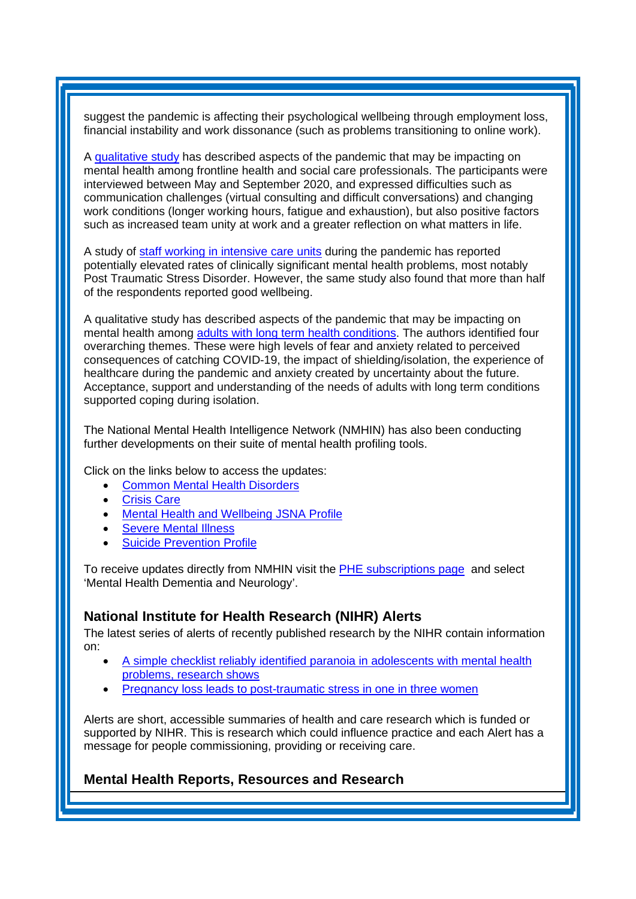suggest the pandemic is affecting their psychological wellbeing through employment loss, financial instability and work dissonance (such as problems transitioning to online work).

A [qualitative](http://medrxiv.org/lookup/doi/10.1101/2020.11.25.20238766) study has described aspects of the pandemic that may be impacting on mental health among frontline health and social care professionals. The participants were interviewed between May and September 2020, and expressed difficulties such as communication challenges (virtual consulting and difficult conversations) and changing work conditions (longer working hours, fatigue and exhaustion), but also positive factors such as increased team unity at work and a greater reflection on what matters in life.

A study of staff working in [intensive](https://doi.org/10.1093/occmed/kqaa220) care units during the pandemic has reported potentially elevated rates of clinically significant mental health problems, most notably Post Traumatic Stress Disorder. However, the same study also found that more than half of the respondents reported good wellbeing.

A qualitative study has described aspects of the pandemic that may be impacting on mental health among adults with long term health [conditions.](http://medrxiv.org/lookup/doi/10.1101/2020.12.03.20243246) The authors identified four overarching themes. These were high levels of fear and anxiety related to perceived consequences of catching COVID-19, the impact of shielding/isolation, the experience of healthcare during the pandemic and anxiety created by uncertainty about the future. Acceptance, support and understanding of the needs of adults with long term conditions supported coping during isolation.

The National Mental Health Intelligence Network (NMHIN) has also been conducting further developments on their suite of mental health profiling tools.

Click on the links below to access the updates:

- [Common Mental Health Disorders](http://links.govdelivery.com/track?type=click&enid=ZWFzPTEmbXNpZD0mYXVpZD0mbWFpbGluZ2lkPTIwMTcxMjA1LjgxOTE2MDgxJm1lc3NhZ2VpZD1NREItUFJELUJVTC0yMDE3MTIwNS44MTkxNjA4MSZkYXRhYmFzZWlkPTEwMDEmc2VyaWFsPTE2OTcwMTE4JmVtYWlsaWQ9c2FyYWguYm91bEBuaHMubmV0JnVzZXJpZD1zYXJhaC5ib3VsQG5ocy5uZXQmdGFyZ2V0aWQ9JmZsPSZleHRyYT1NdWx0aXZhcmlhdGVJZD0mJiY=&&&104&&&https://fingertips.phe.org.uk/profile-group/mental-health/profile/common-mental-disorders)
- **[Crisis Care](http://links.govdelivery.com/track?type=click&enid=ZWFzPTEmbXNpZD0mYXVpZD0mbWFpbGluZ2lkPTIwMTcxMjA1LjgxOTE2MDgxJm1lc3NhZ2VpZD1NREItUFJELUJVTC0yMDE3MTIwNS44MTkxNjA4MSZkYXRhYmFzZWlkPTEwMDEmc2VyaWFsPTE2OTcwMTE4JmVtYWlsaWQ9c2FyYWguYm91bEBuaHMubmV0JnVzZXJpZD1zYXJhaC5ib3VsQG5ocy5uZXQmdGFyZ2V0aWQ9JmZsPSZleHRyYT1NdWx0aXZhcmlhdGVJZD0mJiY=&&&105&&&https://fingertips.phe.org.uk/profile-group/mental-health/profile/crisis-care)**
- Mental Health [and Wellbeing JSNA Profile](http://links.govdelivery.com/track?type=click&enid=ZWFzPTEmbXNpZD0mYXVpZD0mbWFpbGluZ2lkPTIwMTcxMjA1LjgxOTE2MDgxJm1lc3NhZ2VpZD1NREItUFJELUJVTC0yMDE3MTIwNS44MTkxNjA4MSZkYXRhYmFzZWlkPTEwMDEmc2VyaWFsPTE2OTcwMTE4JmVtYWlsaWQ9c2FyYWguYm91bEBuaHMubmV0JnVzZXJpZD1zYXJhaC5ib3VsQG5ocy5uZXQmdGFyZ2V0aWQ9JmZsPSZleHRyYT1NdWx0aXZhcmlhdGVJZD0mJiY=&&&106&&&https://fingertips.phe.org.uk/profile-group/mental-health/profile/mh-jsna)
- **[Severe Mental](http://links.govdelivery.com/track?type=click&enid=ZWFzPTEmbXNpZD0mYXVpZD0mbWFpbGluZ2lkPTIwMTcxMjA1LjgxOTE2MDgxJm1lc3NhZ2VpZD1NREItUFJELUJVTC0yMDE3MTIwNS44MTkxNjA4MSZkYXRhYmFzZWlkPTEwMDEmc2VyaWFsPTE2OTcwMTE4JmVtYWlsaWQ9c2FyYWguYm91bEBuaHMubmV0JnVzZXJpZD1zYXJhaC5ib3VsQG5ocy5uZXQmdGFyZ2V0aWQ9JmZsPSZleHRyYT1NdWx0aXZhcmlhdGVJZD0mJiY=&&&108&&&https://fingertips.phe.org.uk/profile-group/mental-health/profile/severe-mental-illness) Illness**
- **[Suicide Prevention Profile](http://links.govdelivery.com/track?type=click&enid=ZWFzPTEmbXNpZD0mYXVpZD0mbWFpbGluZ2lkPTIwMTgwNjA1LjkwNzEwNzExJm1lc3NhZ2VpZD1NREItUFJELUJVTC0yMDE4MDYwNS45MDcxMDcxMSZkYXRhYmFzZWlkPTEwMDEmc2VyaWFsPTE3MDEzODU4JmVtYWlsaWQ9c2FyYWguYm91bEBuaHMubmV0JnVzZXJpZD1zYXJhaC5ib3VsQG5ocy5uZXQmdGFyZ2V0aWQ9JmZsPSZleHRyYT1NdWx0aXZhcmlhdGVJZD0mJiY=&&&104&&&https://fingertips.phe.org.uk/profile-group/mental-health/profile/suicide)**

To receive updates directly from NMHIN visit the [PHE subscriptions page](http://links.govdelivery.com/track?type=click&enid=ZWFzPTEmbXNpZD0mYXVpZD0mbWFpbGluZ2lkPTIwMTgwMjA3Ljg0OTY1MzgxJm1lc3NhZ2VpZD1NREItUFJELUJVTC0yMDE4MDIwNy44NDk2NTM4MSZkYXRhYmFzZWlkPTEwMDEmc2VyaWFsPTE2OTgzNDk5JmVtYWlsaWQ9c2FyYWguYm91bEBuaHMubmV0JnVzZXJpZD1zYXJhaC5ib3VsQG5ocy5uZXQmdGFyZ2V0aWQ9JmZsPSZleHRyYT1NdWx0aXZhcmlhdGVJZD0mJiY=&&&107&&&https://public.govdelivery.com/accounts/UKHPA/subscribers/new?preferences=true) and select 'Mental Health Dementia and Neurology'.

### <span id="page-5-0"></span>**National Institute for Health Research (NIHR) Alerts**

The latest series of alerts of recently published research by the NIHR contain information on:

- [A simple checklist reliably identified paranoia in adolescents with mental health](https://nihr.us14.list-manage.com/track/click?u=299dc02111e8a68172029095f&id=0451b6abe9&e=219cc58ea4)  [problems, research shows](https://nihr.us14.list-manage.com/track/click?u=299dc02111e8a68172029095f&id=0451b6abe9&e=219cc58ea4)
- [Pregnancy loss leads to post-traumatic stress in one in three women](https://nihr.us14.list-manage.com/track/click?u=299dc02111e8a68172029095f&id=b5e09983e6&e=219cc58ea4)

Alerts are short, accessible summaries of health and care research which is funded or supported by NIHR. This is research which could influence practice and each Alert has a message for people commissioning, providing or receiving care.

### <span id="page-5-1"></span>**Mental Health Reports, Resources and Research**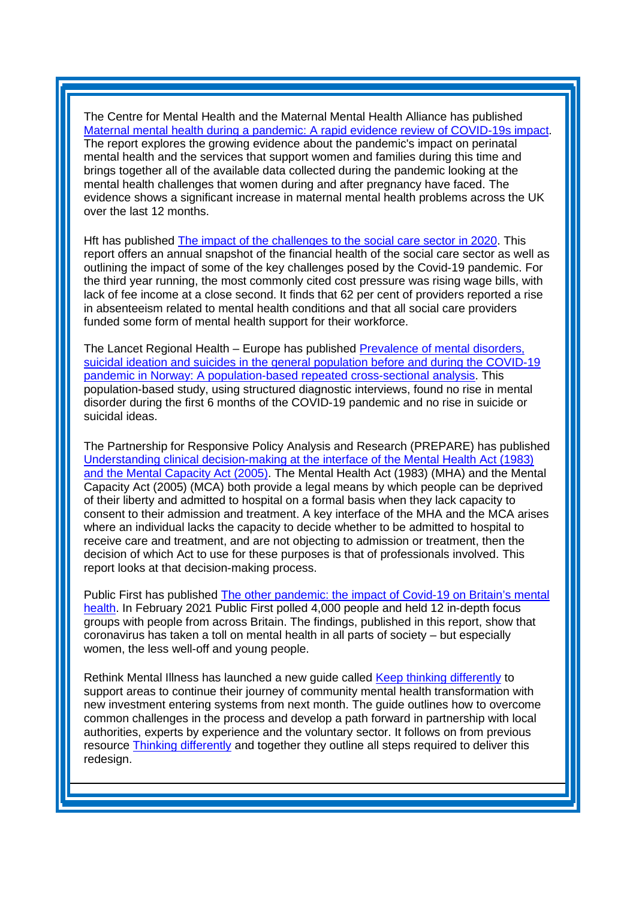The Centre for Mental Health and the Maternal Mental Health Alliance has published [Maternal mental health during a pandemic: A rapid evidence review of COVID-19s impact.](https://maternalmentalhealthalliance.org/mmhpandemic/) The report explores the growing evidence about the pandemic's impact on perinatal mental health and the services that support women and families during this time and brings together all of the available data collected during the pandemic looking at the mental health challenges that women during and after pregnancy have faced. The evidence shows a significant increase in maternal mental health problems across the UK over the last 12 months.

Hft has published [The impact of the challenges to the social care sector in 2020.](https://www.hft.org.uk/wp-content/uploads/2021/03/Hft-Sector-Pulse-Check-2021.pdf?utm_source=The%20King%27s%20Fund%20newsletters%20%28main%20account%29&utm_medium=email&utm_campaign=12226171_NEWSL_HMP%202021-03-12&dm_i=21A8,7A1RV,FLWT3F,TIWQZ,1) This report offers an annual snapshot of the financial health of the social care sector as well as outlining the impact of some of the key challenges posed by the Covid-19 pandemic. For the third year running, the most commonly cited cost pressure was rising wage bills, with lack of fee income at a close second. It finds that 62 per cent of providers reported a rise in absenteeism related to mental health conditions and that all social care providers funded some form of mental health support for their workforce.

The Lancet Regional Health – Europe has published [Prevalence of mental disorders,](https://www.sciencedirect.com/science/article/pii/S266677622100048X)  [suicidal ideation and suicides in the general population before and during the COVID-19](https://www.sciencedirect.com/science/article/pii/S266677622100048X)  [pandemic in Norway: A population-based repeated cross-sectional analysis.](https://www.sciencedirect.com/science/article/pii/S266677622100048X) This population-based study, using structured diagnostic interviews, found no rise in mental disorder during the first 6 months of the COVID-19 pandemic and no rise in suicide or suicidal ideas.

The Partnership for Responsive Policy Analysis and Research (PREPARE) has published [Understanding clinical decision-making at the interface of the Mental Health Act \(1983\)](https://www.york.ac.uk/media/healthsciences/images/research/prepare/reportsandtheircoverimages/Understanding%20the%20MHA%20&%20MCA%20interface.pdf?utm_source=The%20King%27s%20Fund%20newsletters%20%28main%20account%29&utm_medium=email&utm_campaign=12190030_NEWSL_HMP%202020-02-26&dm_i=21A8,799VY,FLWT3F,TFMIN,1)  [and the Mental Capacity Act \(2005\).](https://www.york.ac.uk/media/healthsciences/images/research/prepare/reportsandtheircoverimages/Understanding%20the%20MHA%20&%20MCA%20interface.pdf?utm_source=The%20King%27s%20Fund%20newsletters%20%28main%20account%29&utm_medium=email&utm_campaign=12190030_NEWSL_HMP%202020-02-26&dm_i=21A8,799VY,FLWT3F,TFMIN,1) The Mental Health Act (1983) (MHA) and the Mental Capacity Act (2005) (MCA) both provide a legal means by which people can be deprived of their liberty and admitted to hospital on a formal basis when they lack capacity to consent to their admission and treatment. A key interface of the MHA and the MCA arises where an individual lacks the capacity to decide whether to be admitted to hospital to receive care and treatment, and are not objecting to admission or treatment, then the decision of which Act to use for these purposes is that of professionals involved. This report looks at that decision-making process.

Public First has published [The other pandemic: the impact of Covid-19 on Britain's mental](http://www.publicfirst.co.uk/wp-content/uploads/2021/03/The-Other-Pandemic.pdf?utm_source=The%20King%27s%20Fund%20newsletters%20%28main%20account%29&utm_medium=email&utm_campaign=12226171_NEWSL_HMP%202021-03-12&dm_i=21A8,7A1RV,FLWT3F,TJ9MH,1)  [health.](http://www.publicfirst.co.uk/wp-content/uploads/2021/03/The-Other-Pandemic.pdf?utm_source=The%20King%27s%20Fund%20newsletters%20%28main%20account%29&utm_medium=email&utm_campaign=12226171_NEWSL_HMP%202021-03-12&dm_i=21A8,7A1RV,FLWT3F,TJ9MH,1) In February 2021 Public First polled 4,000 people and held 12 in-depth focus groups with people from across Britain. The findings, published in this report, show that coronavirus has taken a toll on mental health in all parts of society – but especially women, the less well-off and young people.

Rethink Mental Illness has launched a new guide called [Keep thinking differently](https://mhlda.cmail20.com/t/d-l-qvtytl-tlljkuijii-n/) to support areas to continue their journey of community mental health transformation with new investment entering systems from next month. The guide outlines how to overcome common challenges in the process and develop a path forward in partnership with local authorities, experts by experience and the voluntary sector. It follows on from previous resource [Thinking differently](https://mhlda.cmail20.com/t/d-l-qvtytl-tlljkuijii-p/) and together they outline all steps required to deliver this redesign.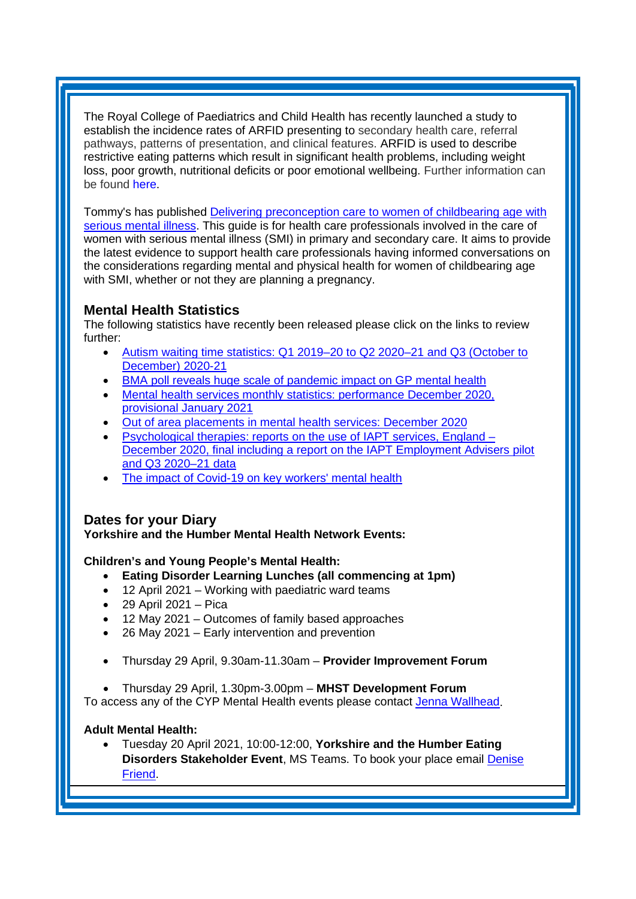The Royal College of Paediatrics and Child Health has recently launched a study to establish the incidence rates of ARFID presenting to secondary health care, referral pathways, patterns of presentation, and clinical features. ARFID is used to describe restrictive eating patterns which result in significant health problems, including weight loss, poor growth, nutritional deficits or poor emotional wellbeing. Further information can be found [here.](https://www.rcpch.ac.uk/work-we-do/bpsu/ARFID)

Tommy's has published [Delivering preconception care to women of childbearing age with](https://www.tommys.org/sites/default/files/2021-02/Pre-conception%20care%20and%20serious%20mental%20illness%20FINAL_updated_0.pdf?utm_source=The%20King%27s%20Fund%20newsletters%20%28main%20account%29&utm_medium=email&utm_campaign=12233805_NEWSL_HMP%202021-03-16&dm_i=21A8,7A7NX,FLWT3F,TJILL,1)  [serious mental illness.](https://www.tommys.org/sites/default/files/2021-02/Pre-conception%20care%20and%20serious%20mental%20illness%20FINAL_updated_0.pdf?utm_source=The%20King%27s%20Fund%20newsletters%20%28main%20account%29&utm_medium=email&utm_campaign=12233805_NEWSL_HMP%202021-03-16&dm_i=21A8,7A7NX,FLWT3F,TJILL,1) This guide is for health care professionals involved in the care of women with serious mental illness (SMI) in primary and secondary care. It aims to provide the latest evidence to support health care professionals having informed conversations on the considerations regarding mental and physical health for women of childbearing age with SMI, whether or not they are planning a pregnancy.

# <span id="page-7-0"></span>**Mental Health Statistics**

The following statistics have recently been released please click on the links to review further:

- [Autism waiting time statistics: Q1 2019–20 to Q2 2020–21 and Q3 \(October to](https://kingsfundmail.org.uk/21A8-7A1RV-FLWT3F-4DLC7K-1/c.aspx)  [December\) 2020-21](https://kingsfundmail.org.uk/21A8-7A1RV-FLWT3F-4DLC7K-1/c.aspx)
- [BMA poll reveals huge scale of pandemic impact on GP mental health](https://kingsfundmail.org.uk/21A8-7A1RV-FLWT3F-4DLHKS-1/c.aspx)
- Mental health services monthly statistics: performance December 2020. [provisional January 2021](https://kingsfundmail.org.uk/21A8-7A1RV-FLWT3F-4DLBW7-1/c.aspx)
- [Out of area placements in mental health services: December 2020](https://kingsfundmail.org.uk/21A8-7A1RV-FLWT3F-4DLC7I-1/c.aspx)
- [Psychological therapies: reports on the use of IAPT services, England –](https://kingsfundmail.org.uk/21A8-7A1RV-FLWT3F-4DLBW8-1/c.aspx) [December 2020, final including a report on the IAPT Employment Advisers pilot](https://kingsfundmail.org.uk/21A8-7A1RV-FLWT3F-4DLBW8-1/c.aspx)  [and Q3 2020–21 data](https://kingsfundmail.org.uk/21A8-7A1RV-FLWT3F-4DLBW8-1/c.aspx)
- [The impact of Covid-19 on key workers' mental health](https://kingsfundmail.org.uk/21A8-7A7NX-FLWT3F-4DPDB8-1/c.aspx)

# <span id="page-7-1"></span>**Dates for your Diary**

**Yorkshire and the Humber Mental Health Network Events:**

### **Children's and Young People's Mental Health:**

- **Eating Disorder Learning Lunches (all commencing at 1pm)**
- 12 April 2021 Working with paediatric ward teams
- $\bullet$  29 April 2021 Pica
- 12 May 2021 Outcomes of family based approaches
- 26 May 2021 Early intervention and prevention
- Thursday 29 April, 9.30am-11.30am **Provider Improvement Forum**
- Thursday 29 April, 1.30pm-3.00pm **MHST Development Forum**

To access any of the CYP Mental Health events please contact [Jenna Wallhead.](mailto:jenna.wallhead@nhs.net)

### **Adult Mental Health:**

• Tuesday 20 April 2021, 10:00-12:00, **Yorkshire and the Humber Eating Disorders Stakeholder Event**, MS Teams. To book your place email [Denise](mailto:denise.friend@nhs.net)  [Friend.](mailto:denise.friend@nhs.net)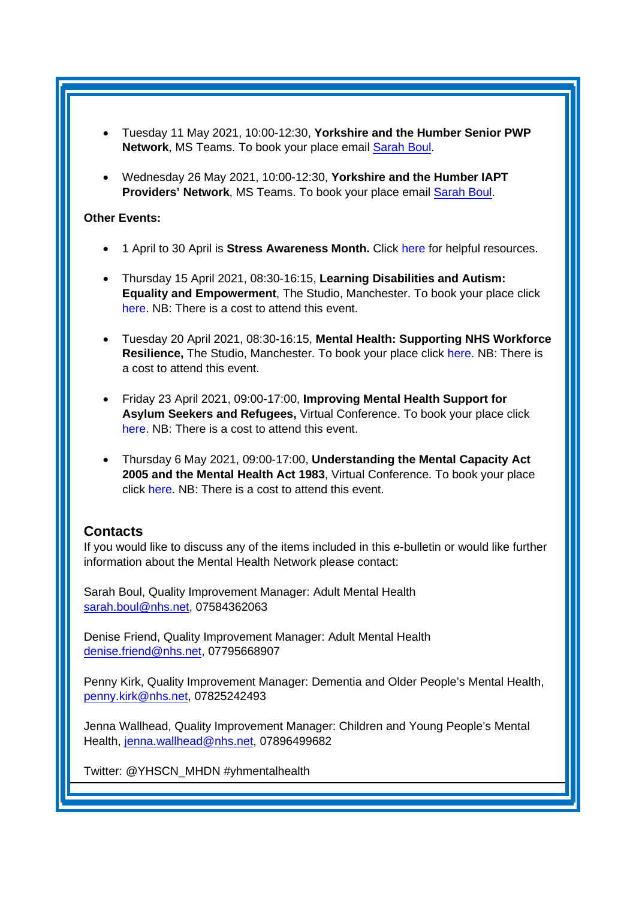- Tuesday 11 May 2021, 10:00-12:30, **Yorkshire and the Humber Senior PWP Network**, MS Teams. To book your place email [Sarah Boul.](mailto:sarah.boul@nhs.net)
- Wednesday 26 May 2021, 10:00-12:30, **Yorkshire and the Humber IAPT Providers' Network**, MS Teams. To book your place email [Sarah Boul.](mailto:sarah.boul@nhs.net)

### **Other Events:**

- 1 April to 30 April is **Stress Awareness Month.** Click [here](https://www.stress.org.uk/national-stress-awareness-month-2019/) for helpful resources.
- Thursday 15 April 2021, 08:30-16:15, **Learning Disabilities and Autism: Equality and Empowerment**, The Studio, Manchester. To book your place click [here.](https://www.openforumevents.co.uk/events/2021/learning-disabilities-and-autism-equality-and-empowerment/?utm_source=LD+OC+30.10&utm_medium=email&utm_campaign=LD+2021+Wk+1) NB: There is a cost to attend this event.
- Tuesday 20 April 2021, 08:30-16:15, **Mental Health: Supporting NHS Workforce Resilience,** The Studio, Manchester. To book your place click [here.](https://www.openforumevents.co.uk/events/2021/mental-health-supporting-nhs-workforce-resilience/?utm_source=MHWF+2021+Wk+1+4+NHS+05.11&utm_medium=email&utm_campaign=MHWF+2021+Wk+1) NB: There is a cost to attend this event.
- Friday 23 April 2021, 09:00-17:00, **Improving Mental Health Support for Asylum Seekers and Refugees,** Virtual Conference. To book your place click [here.](https://www.healthcareconferencesuk.co.uk/conferences-masterclasses/improving-mental-health-support-for-asylum-seekers-and-refugees/book/virtual-online-2021-4-23?utm_medium=email&utm_source=HCUKKT&utm_campaign=RefMenApril2021) NB: There is a cost to attend this event.
- Thursday 6 May 2021, 09:00-17:00, **Understanding the Mental Capacity Act 2005 and the Mental Health Act 1983**, Virtual Conference. To book your place click [here.](https://www.healthcareconferencesuk.co.uk/conferences-masterclasses/understanding-the-interface-between-the-mental-capacity-act-2005-and-the-mental-health-act-1983?utm_medium=email&utm_source=HCUKNM&utm_campaign=MHA060521) NB: There is a cost to attend this event.

# <span id="page-8-0"></span>**Contacts**

If you would like to discuss any of the items included in this e-bulletin or would like further information about the Mental Health Network please contact:

Sarah Boul, Quality Improvement Manager: Adult Mental Health [sarah.boul@nhs.net,](mailto:sarah.boul@nhs.net) 07584362063

Denise Friend, Quality Improvement Manager: Adult Mental Health denise.friend@nhs.net, 07795668907

Penny Kirk, Quality Improvement Manager: Dementia and Older People's Mental Health, [penny.kirk@nhs.net,](mailto:penny.kirk@nhs.net) 07825242493

Jenna Wallhead, Quality Improvement Manager: Children and Young People's Mental Health, [jenna.wallhead@nhs.net,](mailto:jenna.wallhead@nhs.net) 07896499682

Twitter: @YHSCN\_MHDN #yhmentalhealth